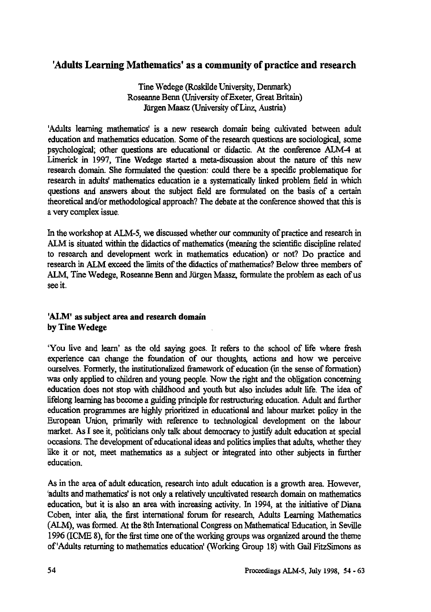# **'Adults Learning Mathematics' as a community of practice and research**

**Tine Wedege (Roskilde University, Denmark) Roseanne Benn (University of Exeter, Great Britain) Jurgen Maasz (University of Linz, Austria)**

**'Adults learning mathematics' is a new research domain being cultivated between adult education and mathematics education. Some of the research questions are sociological, some psychological; other questions are educational or didactic. At the conference ALM-4 at Limerick in 1997, Tine Wedege started a meta-discussion about the nature of this new research domain. She formulated the question: could there be a specific problematique for research in adults' mathematics education ie a systematically linked problem field in which questions and answers about the subject field are formulated on the basis of a certain theoretical and/or methodological approach? The debate at the conference showed that this is a very complex issue.**

**In the workshop at ALM-5, we discussed whether our community of practice and research in ALM is situated within the didactics of mathematics (meaning the scientific discipline related to research and development work in mathematics education) or not? Do practice and research in ALM exceed the limits of the didactics of mathematics? Below three members of ALM, Tine Wedege, Roseanne Benn and Jiirgen Maasz, formulate the problem as each of us see it.**

## **'ALM' as subject area and** *research* **domain by Tine Wedege**

**You live and learn' as the old saying goes. It refers to the school of life where fresh experience can change the foundation of our thoughts, actions and how we perceive ourselves. Formerly, the institutionalized framework of education (in the sense of formation) was only applied to children and young people. Now the right and the obligation concerning education does not stop with childhood and youth but also includes adult life. The idea of lifelong learning has become a guiding principle for restructuring education. Adult and further education programmes are highly prioritized in educational and labour market policy in the European Union, primarily with reference to technological development on the labour market. As I see it, politicians only talk about democracy to justify adult education at special occasions. The development of educational ideas and politics implies that adults, whether they like it or not, meet mathematics as a subject or integrated into other subjects in further education.**

**As in the area of adult education, research into adult education is a growth area. However, 'adults and mathematics' is not only a relatively uncultivated research domain on mathematics education, but it is also an area with increasing activity. In 1994, at the initiative of Diana Coben, inter alia, the first international forum for research, Adults Learning Mathematics (ALM), was formed. At the 8th International Congress on Mathematical Education, in Seville 1996 (ICME 8), for the first time one of the working groups was organized around the theme of 'Adults returning to mathematics education' (Working Group 18) with Gail FitzSimons as**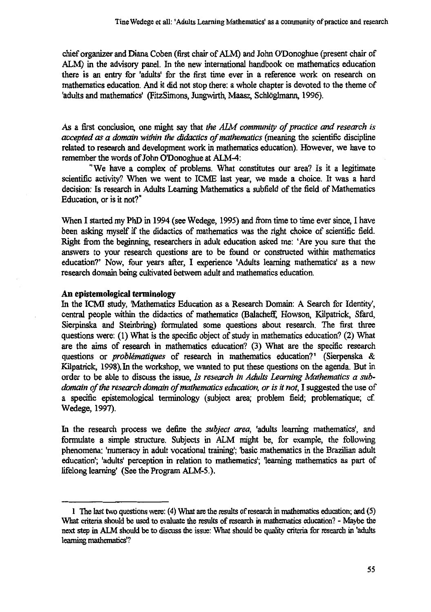**chief organizer and Diana Coben (first chair of ALM) and John ()Donoghue (present chair of ALM) in the advisory panel. In the new international handbook on mathematics education there is an entry for 'adults' for the first time ever in a reference work on research on mathematics education. And it did not stop there: a whole chapter is devoted to the theme of** 'adults and mathematics' (FitzSimons, Jungwirth, Maasz, Schlöglmann, 1996).

**As a first conclusion, one might say that** *the AIM community of practice and research is accepted as a domain within the didactics of mathematics* **(meaning the scientific discipline related to research and development work in mathematics education). However, we have to** remember the words of John O'Donoghue at ALM-4:

**" We have a complex of problems. What constitutes our area? Is it a legitimate scientific activity? When we went to ICME last year, we made a choice. It was a hard decision: Is research in Adults Learning Mathematics a subfield of the field of Mathematics Education, or is it not?"**

**When I started my PhD in 1994 (see Wedege, 1995) and from time to time ever since, I have been asking myself if the didactics of mathematics was the right choice of scientific field. Right from the beginning, researchers in adult education asked me: 'Are you sure that the answers to your research questions are to be found or constructed within mathematics education?' Now, four years after, I experience 'Adults learning mathematics' as a new research domain being cultivated between adult and mathematics education.**

#### **An epistemological terminology**

**In the ICMI study, Mathematics Education as a Research Domain: A Search for Identity', central people within the didactics of mathematics (BalachefC Howson, Kilpatrick, Sfard, Sierpinska and Steinbring) formulated some questions about research. The first three questions were: (1) What is the specific object of study in mathematics education? (2) What are the aims of research in mathematics education? (3) What are the specific research questions or** *problematiques* **of research in mathematics education?' (Sierpenska & Kilpatrick, 1998), In the workshop, we wanted to put these questions on the agenda. But in order to be able to discuss the issue,** *Is research in Adults Learning Mathematics a subdomain of the research domain of mathematics education, or is it not, I suggested the use of* **a specific epistemological terminology (subject area; problem field; problematique; cf. Wedege, 1997).**

**In the research process we define the** *subject area,* **'adults learning mathematics', and formulate a simple structure. Subjects in ALM might be, for example, the following phenomena: 'numeracy in adult vocational training; 'basic mathematics in the Brazilian adult education; 'adults' perception in relation to mathematics; learning mathematics as part of lifelong learning' (See the Program ALM-5.).**

**<sup>1</sup> The last two questions were: (4) What are the results of research in mathematics education; and (5) What criteria should be used to evaluate the results of research in mathematics education? - Maybe the next step in ALM should be to discuss the issue: What should be quality criteria for research in 'adults learning mathematics'?**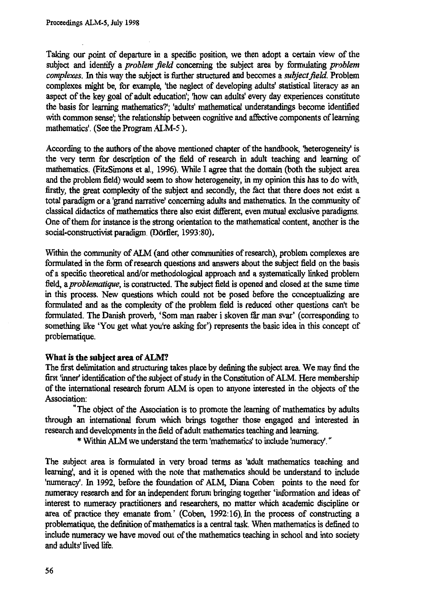**Taking our point of departure in a specific position, we then adopt a certain view of the subject and identify a** *problem field* **concerning the subject area by formulating** *problem complexes.* **In this way the subject is further structured and becomes a** *subject field.* **Problem** complexes might be, for example, 'the neglect of developing adults' statistical literacy as an **aspect of the key goal of adult education; 'how can adults' every day experiences constitute the basis for learning mathematics?'; 'adults' mathematical understandings become identified** with common sense'; 'the relationship between cognitive and affective components of learning **mathematics'. (See the Program ALM-5 ).**

**According to the authors of the above mentioned chapter of the handbook, 'heterogeneity' is the very term for description of the field of research in adult teaching and learning of mathematics. (FitzSimons et al., 1996). While I agree that the domain (both the subject area and the problem field) would seem to show heterogeneity, in my opinion this has to do with, firstly, the great complexity of the subject and secondly, the fact that there does not exist a total paradigm or a 'grand narrative' concerning adults and mathematics. In the community of classical didactics of mathematics there also exist different, even mutual exclusive paradigms. One of them for instance is the strong orientation to the mathematical content, another is the** social-constructivist paradigm. (Dörfler, 1993:80),

**Within the community of ALM (and other communities of research), problem complexes are formulated in the form of research questions and answers about the subject field on the basis of a specific theoretical and/or methodological approach and a systematically linked problem field,** *aproblematique,* **is constructed. The subject field is opened and closed at the same time in this process. New questions which could not be posed before the conceptualizing are formulated and as the complexity of the problem field is reduced other questions can't be formulated. The Danish proverb, `Som man raaber i skoven fir man svar' (corresponding to something like 'You get what you're asking for') represents the basic idea in this concept of problematique.**

### **What is the subject area of ALM?**

**The first delimitation and structuring takes place by defining the subject area. We may find the** first 'inner' identification of the subject of study in the Constitution of ALM. Here membership **of the international research forum ALM is open to anyone interested in the objects of the Association:**

**"The object of the Association is to promote the learning of mathematics by adults through an international forum which brings together those engaged and interested in research and developments in the field of adult mathematics teaching and learning.**

**\* Within ALM we understand the term 'mathematics' to include 'numeracy'.**

**The subject area is formulated in very broad terms as 'adult mathematics teaching and learning', and it is opened with the note that mathematics should be understand to include 'numeracy'. In 1992, before the foundation of ALM, Diana Coben points to the need for numeracy research and for an independent forum bringing together 'information and ideas of interest to numeracy practitioners and researchers, no matter which academic discipline or area of practice they emanate from.' (Coben, 1992:16). In the process of constructing a problematique, the definition of mathematics is a central task. When mathematics is defined to include numeracy we have moved out of the mathematics teaching in school and into society and adults' lived life.**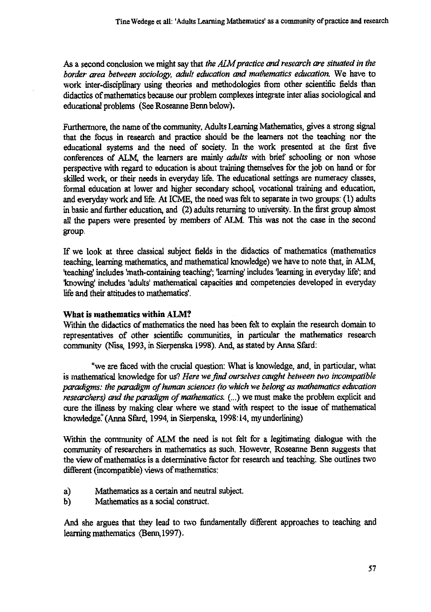**As a second conclusion we might say that** *the AIM practice and research are situated in the border area between sociology, adult education and mathematics education.* **We have to work inter-disciplinary using theories and methodologies from other scientific fields than didactics of mathematics because our problem complexes integrate inter alias sociological and educational problems (See Roseanne Benn below).**

**Furthermore, the name of the community, Adults Learning Mathematics, gives a strong signal that the focus in research and practice should be the learners not the teaching nor the educational systems and the need of society. In the work presented at the first five conferences of ALM, the learners are** *mainly adults* **with brief schooling or non whose perspective with regard to education is about training themselves for the job on hand or for skilled work, or their needs in everyday life. The educational settings are numeracy classes, formal education at lower and higher secondary school, vocational training and education, and everyday work and life. At ICME, the need was felt to separate in two groups: (1) adults in basic and further education, and (2) adults returning to university. In the first group almost all the papers were presented by members of ALM. This was not the case in the second group.**

**If we look at three classical subject fields in the didactics of mathematics (mathematics teaching, learning mathematics, and mathematical knowledge) we have to note that, in ALM, 'teaching' includes 'math-containing teaching'; 'learning' includes 'learning in everyday life; and 'knowing' includes 'adults' mathematical capacities and competencies developed in everyday life and their attitudes to mathematics'.**

### **What is mathematics within ALM?**

**Within the didactics of mathematics the need has been felt to explain the research domain to representatives of other scientific communities, in particular the mathematics research community (Niss, 1993, in Sierpenska 1998). And, as stated by Anna Sfard:**

**"we are faced with the crucial question: What is knowledge, and, in particular, what is mathematical knowledge for us?** *Here we find ourselves caught between two incompatible paradigms: the paradigm of human sciences (to which we belong as mathematics education researchers) and the paradigm of mathematics. (...) we* **must** *make* **the problem explicit and cure the illness by making clear where we stand with respect to the issue of mathematical knowledge!' (Anna Sfard, 1994, in Sierpenska, 1998:14, my underlining)**

**Within the community of ALM the need is not felt for a legitimating dialogue with the community of researchers in mathematics as such. However, Roseanne Benn suggests that the view of mathematics is a determinative factor for research and teaching. She outlines two different (incompatible) views of mathematics:**

- **a) Mathematics as a certain and neutral subject.**
- **b) Mathematics as a social construct.**

**And she argues that they lead to two fundamentally different approaches to teaching and learning mathematics. (Benn,1997).**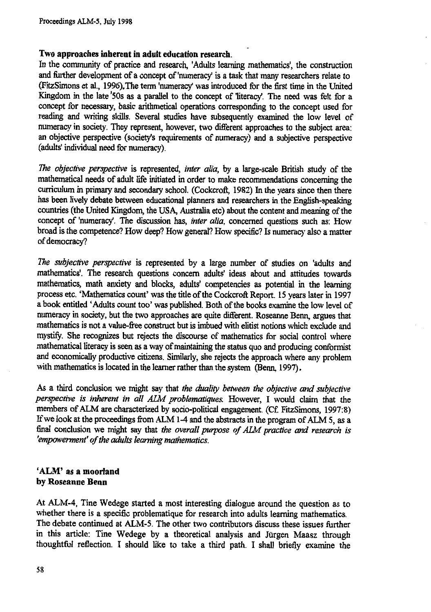### **Two approaches inherent in adult education research.**

In the community of practice and research, 'Adults learning mathematics', the construction and further development of a concept of 'numeracy' is a task that many researchers relate to (Fitzsimons et al., 1996).The term 'numeracy' was introduced for the first time in the United Kingdom in the late '50s as a parallel to the concept of literacy'. The need was felt for a concept for necessary, basic arithmetical operations corresponding to the concept used for reading and writing skills. Several studies have subsequently examined the low level of numeracy in society. They represent, however, two different approaches to the subject area: an objective perspective (society's requirements of numeracy) and a subjective perspective (adults' individual need for numeracy).

*The objective perspective* is represented, *inter alia,* by a large-scale British study of the mathematical needs of adult life initiated in order to make recommendations concerning the curriculum in primary and secondary school. (Cockcroft, 1982) In the years since then there has been lively debate between educational planners and researchers in the English-speaking countries (the United Kingdom, the USA, Australia etc) about the content and meaning of the concept of 'numeracy'. The discussion has, *inter alia,* concerned questions such as: How broad is the competence? How deep? How general? How specific? Is numeracy also a matter of democracy?

*The subjective perspective* is represented by a large number of studies on 'adults and mathematics'. The research questions concern adults' ideas about and attitudes towards mathematics, math anxiety and blocks, adults' competencies as potential in the learning process etc. 'Mathematics count' was the title of the Cockcroft Report. 15 years later in 1997 a book entitled 'Adults count too' was published. Both of the books examine the low level of numeracy in society, but the two approaches are quite different. Roseanne Benn, argues that mathematics is not a value-free construct but is imbued with elitist notions which exclude and mystify. She recognizes but rejects the discourse of mathematics for social control where mathematical literacy is seen as a way of maintaining the status quo and producing conformist and economically productive citizens. Similarly, she rejects the approach where any problem with mathematics is located in the learner rather than the system (Benn, 1997).

As a third conclusion we might say that *the duality between the objective and subjective perspective is inherent in all AIM problematiques.* However, I would claim that the members of ALM are characterized by socio-political engagement. (Cf. FitzSimons, 1997:8) If we look at the proceedings from ALM 1-4 and the abstracts in the program of ALM 5, as a final conclusion we might say that *the overall purpose of ALAI practice and research is 'empowerment' of the adults learning mathematics.*

### **'ALM' as a moorland by Roseanne Benn**

At ALM-4, Tine Wedege started a most interesting dialogue around the question as to whether there is a specific problematique for research into adults learning mathematics. The debate continued at ALM-5. The other two contributors discuss these issues further in this article: Tine Wedege by a theoretical analysis and Jurgen Maasz through thoughtful reflection. I should like to take a third path. I shall briefly examine the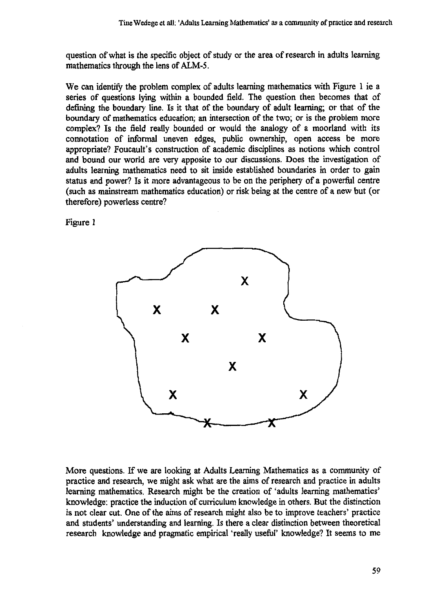**question of what is the specific object of study or the area of research in adults learning mathematics through the lens of ALM-5.**

**We can identify the problem complex of adults learning mathematics with Figure 1 ie a series of questions lying within a bounded field. The question then becomes that of defining the boundary line. Is it that of the boundary of adult learning; or that of the boundary of mathematics education; an intersection of the two; or is the problem more complex? Is the field really bounded or would the analogy of a moorland with its connotation of informal uneven edges, public ownership, open access be more appropriate? Foucault's construction of academic disciplines as notions which control and bound our world are very apposite to our discussions. Does the investigation of adults learning mathematics need to sit inside established boundaries in order to gain status and power? Is it more advantageous to be on the periphery of a powerful centre (such as mainstream mathematics education) or risk being at the centre of a new but (or therefore) powerless centre?**

**Figure 1**



**More questions. If we are looking at Adults Learning Mathematics as a community of practice and research, we might ask what are the aims of research and practice in adults learning mathematics. Research might be the creation of 'adults learning mathematics' knowledge: practice the induction of curriculum knowledge in others. But the distinction is not clear cut. One of the aims of research might also be to improve teachers' practice and students' understanding and learning. Is there a clear distinction between theoretical research knowledge and pragmatic empirical 'really useful' knowledge? It seems to me**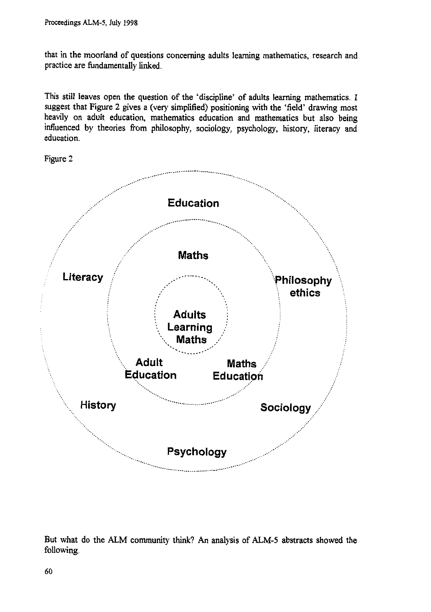that in the moorland of questions concerning adults learning mathematics, research and practice are fundamentally linked.

This still leaves open the question of the 'discipline' of adults learning mathematics. I suggest that Figure 2 gives a (very simplified) positioning with the 'field' drawing most heavily on adult education, mathematics education and mathematics but also being influenced by theories from philosophy, sociology, psychology, history, literacy and education.

Figure 2



But what do the ALM community think? An analysis of ALM-5 abstracts showed the following.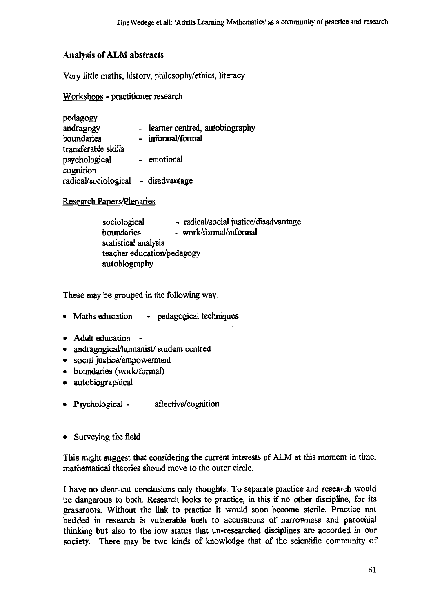## **Analysis of ALM abstracts**

Very little maths, history, philosophy/ethics, literacy

Workshops - practitioner research

| pedagogy                            |                                |
|-------------------------------------|--------------------------------|
| andragogy                           | learner centred, autobiography |
| boundaries                          | informal/formal                |
| transferable skills                 |                                |
| psychological                       | - emotional                    |
| cognition                           |                                |
| radical/sociological - disadvantage |                                |

## Research Papers/Plenaries

| sociological               | - radical/social justice/disadvantage |
|----------------------------|---------------------------------------|
| boundaries                 | - work/formal/informal                |
| statistical analysis       |                                       |
| teacher education/pedagogy |                                       |
| autobiography              |                                       |

These may be grouped in the following way.

- Maths education pedagogical techniques
- Adult education -
- andragogical/humanist/ student centred
- social justice/empowerment
- boundaries (work/formal)
- autobiographical
- Psychological affective/cognition
- Surveying the field

This might suggest that considering the current interests of ALM at this moment in time, mathematical theories should move to the outer circle.

I have no clear-cut conclusions only thoughts. To separate practice and research would be dangerous to both. Research looks to practice, in this if no other discipline, for its grassroots. Without the link to practice it would soon become sterile. Practice not bedded in research is vulnerable both to accusations of narrowness and parochial thinking but also to the low status that un-researched disciplines are accorded in our society. There may be two kinds of knowledge that of the scientific community of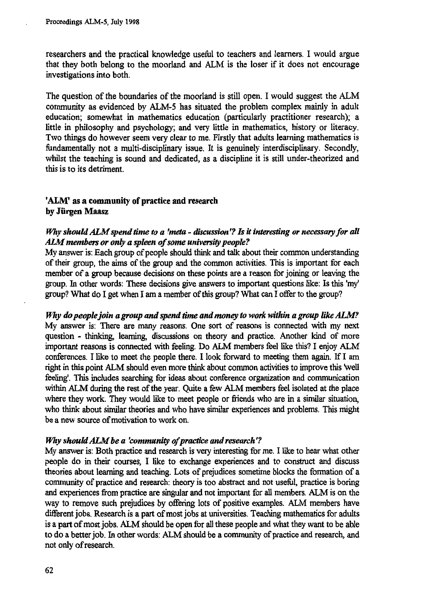researchers and the practical knowledge useful to teachers and learners. I would argue that they both belong to the moorland and ALM is the loser if it does not encourage investigations into both.

The question of the boundaries of the moorland is still open. I would suggest the ALM community as evidenced by ALM-5 has situated the problem complex mainly in adult education; somewhat in mathematics education (particularly practitioner research); a little in philosophy and psychology; and very little in mathematics, history or literacy. Two things do however seem very clear to me. Firstly that adults learning mathematics is fundamentally not a multi-disciplinary issue. It is genuinely interdisciplinary. Secondly, whilst the teaching is sound and dedicated, as a discipline it is still under-theorized and this is to its detriment.

## **'ALM' as a community of practice and research by Jiirgen Maasz**

### *Why should ALM spend time to a 'meta - discussion'? Is it interesting or necessary for all AIM members or only a spleen of some university people?*

My answer is: Each group of people should think and talk about their common understanding of their group, the aims of the group and the common activities. This is important for each member of a group because decisions on these points are a reason for joining or leaving the group. In other words: These decisions give answers to important questions like: Is this 'my' group? What do I get when I am a member of this group? What can I offer to the group?

*Why do people join a group and spend time and money to work within a group like ALM?* My answer is: There are many reasons. One sort of reasons is connected with my next question - thinking, learning, discussions on theory and practice. Another kind of more important reasons is connected with feeling. Do ALM members feel like this? I enjoy ALM conferences. I like to meet the people there. I look forward to meeting them again. If I am right in this point ALM should even more think about common activities to improve this 'well feeling'. This includes searching for ideas about conference organization and communication within ALM during the rest of the year. Quite a few ALM members feel isolated at the place where they work. They would like to meet people or friends who are in a similar situation, who think about similar theories and who have similar experiences and problems. This might be a new source of motivation to work on.

#### *Why should AIM be a 'community of practice and research'?*

My answer is: Both practice and research is very interesting for me. I like to hear what other people do in their courses, I like to exchange experiences and to construct and discuss theories about learning and teaching. Lots of prejudices sometime blocks the formation of a community of practice and research: theory is too abstract and not useful, practice is boring and experiences from practice are singular and not important for all members. ALM is on the way to remove such prejudices by offering lots of positive examples. ALM members have different jobs. Research is a part of most jobs at universities. Teaching mathematics for adults is a part of most jobs. ALM should be open for all these people and what they want to be able to do a better job. In other words: ALM should be a community of practice and research, and not only of research.